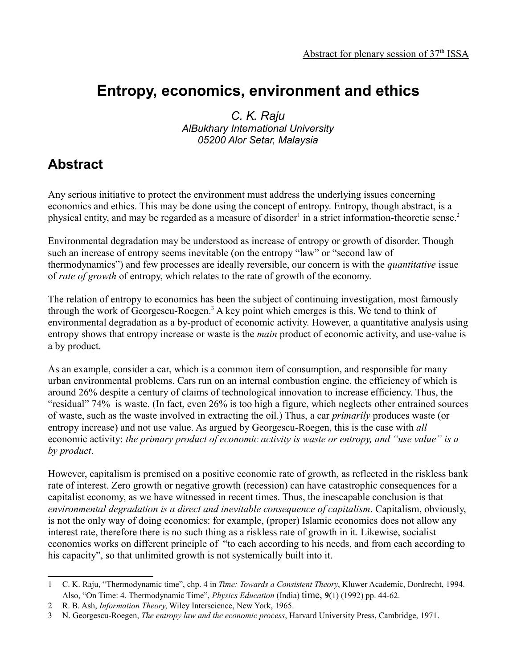## **Entropy, economics, environment and ethics**

*C. K. Raju AlBukhary International University 05200 Alor Setar, Malaysia*

## **Abstract**

Any serious initiative to protect the environment must address the underlying issues concerning economics and ethics. This may be done using the concept of entropy. Entropy, though abstract, is a physical entity, and may be regarded as a measure of disorder<sup>[1](#page-0-0)</sup> in a strict information-theoretic sense.<sup>[2](#page-0-1)</sup>

Environmental degradation may be understood as increase of entropy or growth of disorder. Though such an increase of entropy seems inevitable (on the entropy "law" or "second law of thermodynamics") and few processes are ideally reversible, our concern is with the *quantitative* issue of *rate of growth* of entropy, which relates to the rate of growth of the economy.

The relation of entropy to economics has been the subject of continuing investigation, most famously through the work of Georgescu-Roegen.<sup>[3](#page-0-2)</sup> A key point which emerges is this. We tend to think of environmental degradation as a by-product of economic activity. However, a quantitative analysis using entropy shows that entropy increase or waste is the *main* product of economic activity, and use-value is a by product.

As an example, consider a car, which is a common item of consumption, and responsible for many urban environmental problems. Cars run on an internal combustion engine, the efficiency of which is around 26% despite a century of claims of technological innovation to increase efficiency. Thus, the "residual" 74% is waste. (In fact, even 26% is too high a figure, which neglects other entrained sources of waste, such as the waste involved in extracting the oil.) Thus, a car *primarily* produces waste (or entropy increase) and not use value. As argued by Georgescu-Roegen, this is the case with *all* economic activity: *the primary product of economic activity is waste or entropy, and "use value" is a by product*.

However, capitalism is premised on a positive economic rate of growth, as reflected in the riskless bank rate of interest. Zero growth or negative growth (recession) can have catastrophic consequences for a capitalist economy, as we have witnessed in recent times. Thus, the inescapable conclusion is that *environmental degradation is a direct and inevitable consequence of capitalism*. Capitalism, obviously, is not the only way of doing economics: for example, (proper) Islamic economics does not allow any interest rate, therefore there is no such thing as a riskless rate of growth in it. Likewise, socialist economics works on different principle of "to each according to his needs, and from each according to his capacity", so that unlimited growth is not systemically built into it.

<span id="page-0-0"></span><sup>1</sup> C. K. Raju, "Thermodynamic time", chp. 4 in *Time: Towards a Consistent Theory*, Kluwer Academic, Dordrecht, 1994. Also, "On Time: 4. Thermodynamic Time", *Physics Education* (India) time, **9**(1) (1992) pp. 44-62.

<span id="page-0-1"></span><sup>2</sup> R. B. Ash, *Information Theory*, Wiley Interscience, New York, 1965.

<span id="page-0-2"></span><sup>3</sup> N. Georgescu-Roegen, *The entropy law and the economic process*, Harvard University Press, Cambridge, 1971.